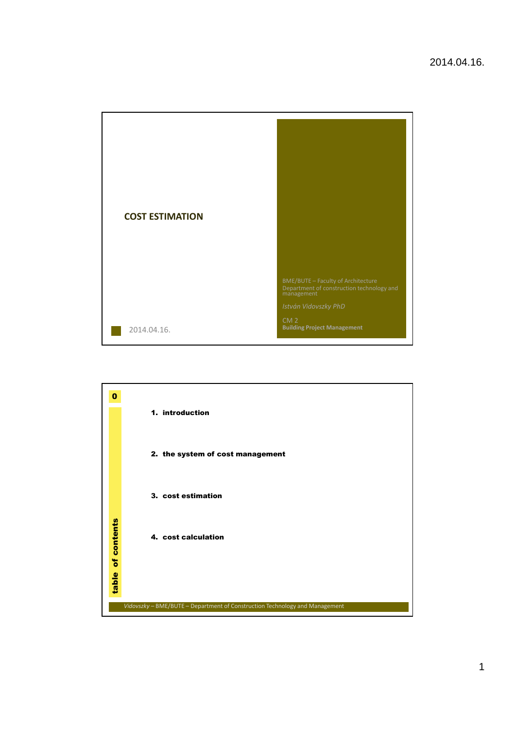

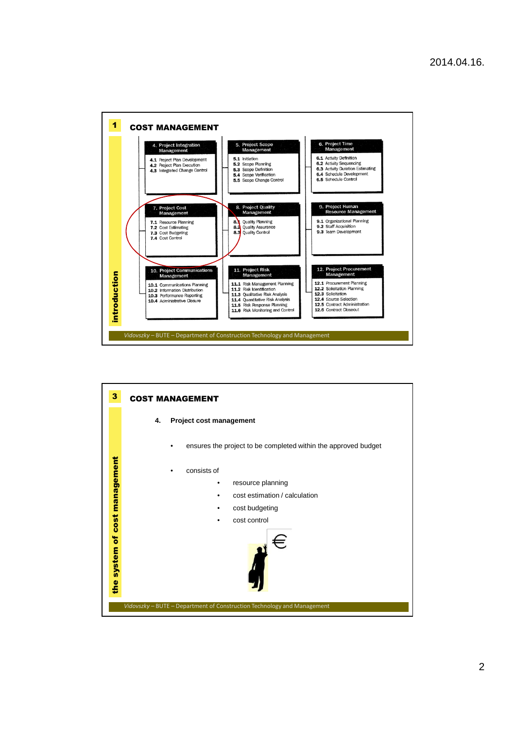

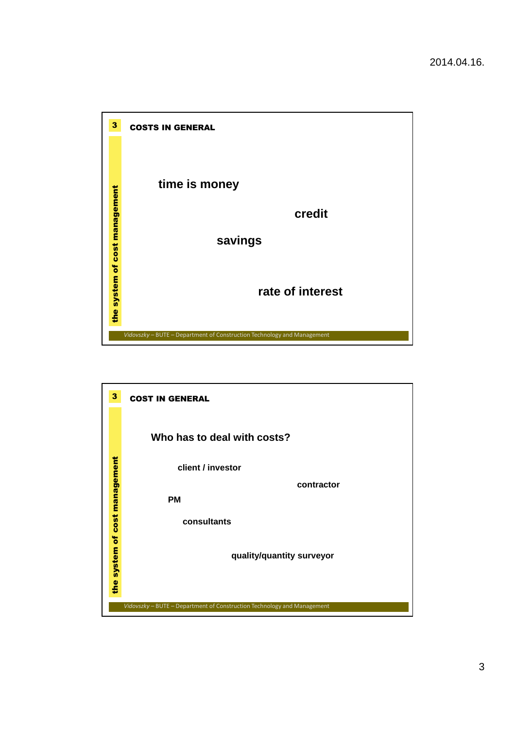

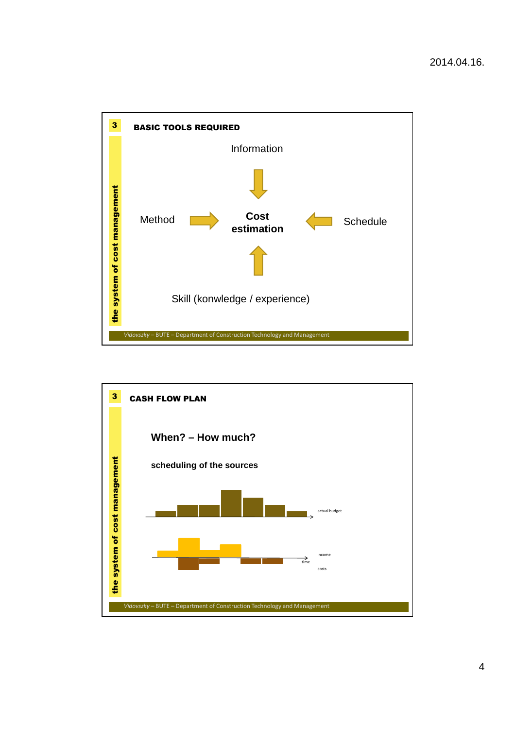

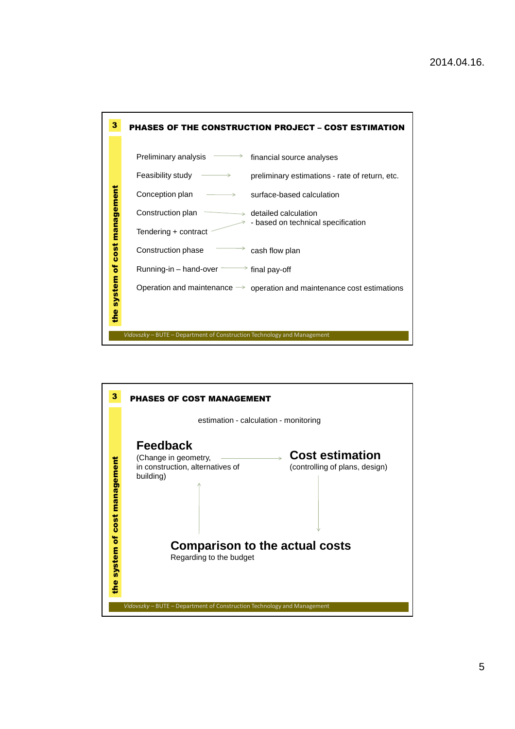

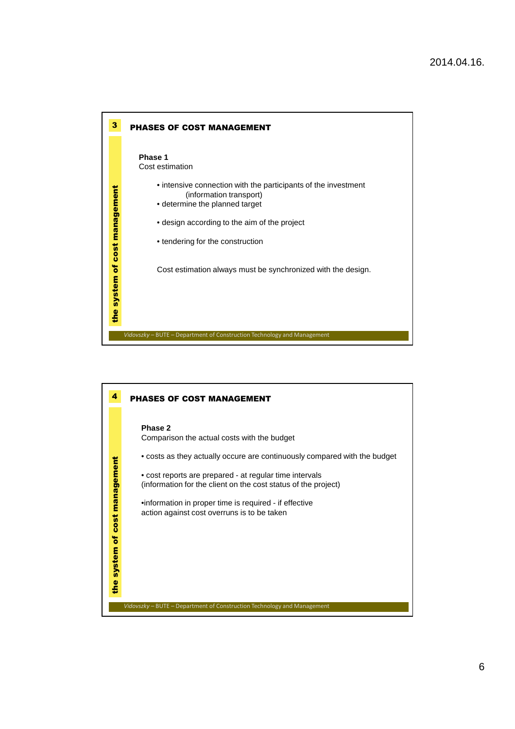

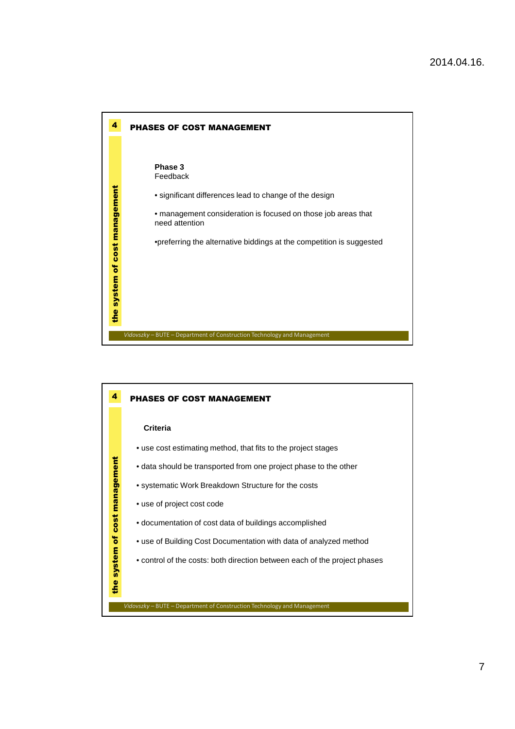

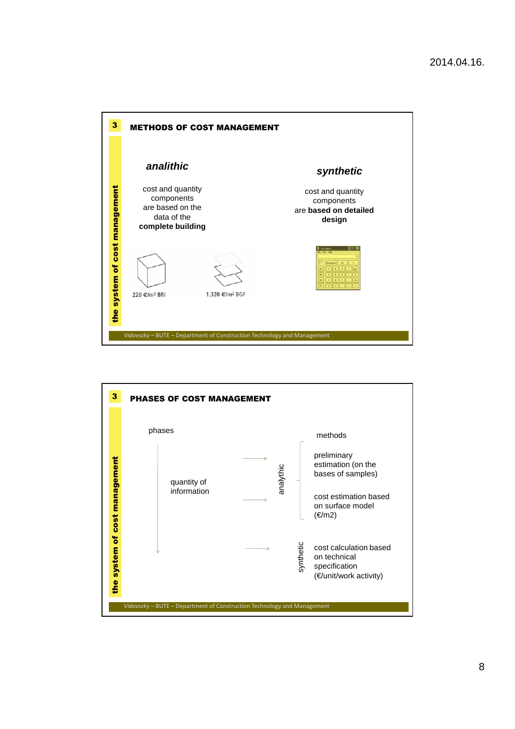

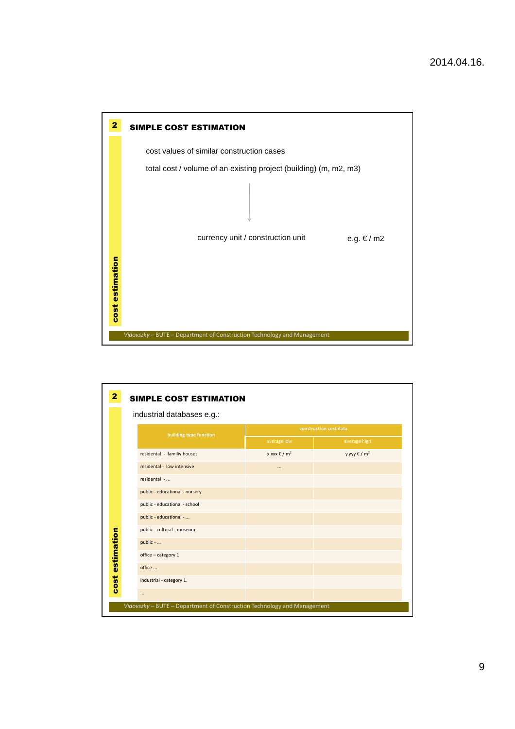

| 2<br><b>SIMPLE COST ESTIMATION</b>                                      |                            |                                |                          |                            |  |
|-------------------------------------------------------------------------|----------------------------|--------------------------------|--------------------------|----------------------------|--|
|                                                                         | industrial databases e.g.: |                                |                          |                            |  |
|                                                                         |                            | building type function         | construction cost data   |                            |  |
| estimation<br>cost                                                      |                            |                                | average low              | average high               |  |
|                                                                         |                            | residental - familiy houses    | x.xxx € / m <sup>2</sup> | $V.VVV$ € / m <sup>2</sup> |  |
|                                                                         |                            | residental - low intensive     | $\cdots$                 |                            |  |
|                                                                         |                            | residental -                   |                          |                            |  |
|                                                                         |                            | public - educational - nursery |                          |                            |  |
|                                                                         |                            | public - educational - school  |                          |                            |  |
|                                                                         |                            | public - educational -         |                          |                            |  |
|                                                                         |                            | public - cultural - museum     |                          |                            |  |
|                                                                         |                            | public -                       |                          |                            |  |
|                                                                         |                            | office - category 1            |                          |                            |  |
|                                                                         |                            | office                         |                          |                            |  |
|                                                                         |                            | industrial - category 1.       |                          |                            |  |
|                                                                         |                            | $\cdots$                       |                          |                            |  |
| Vidovszky - BUTE - Department of Construction Technology and Management |                            |                                |                          |                            |  |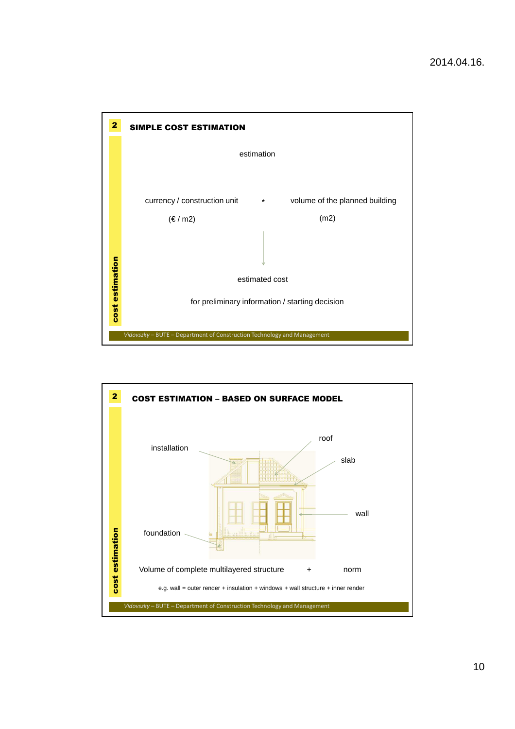

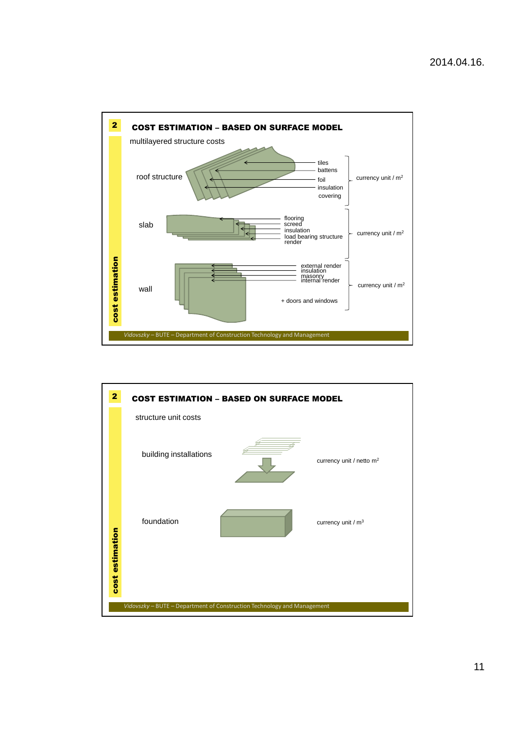

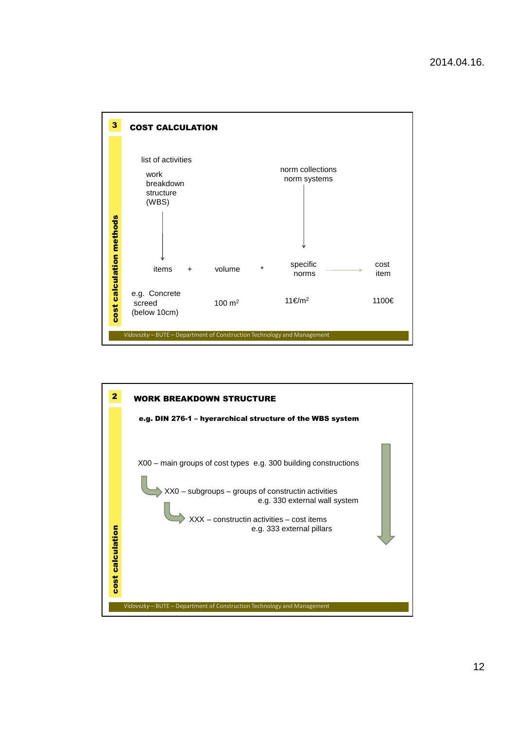

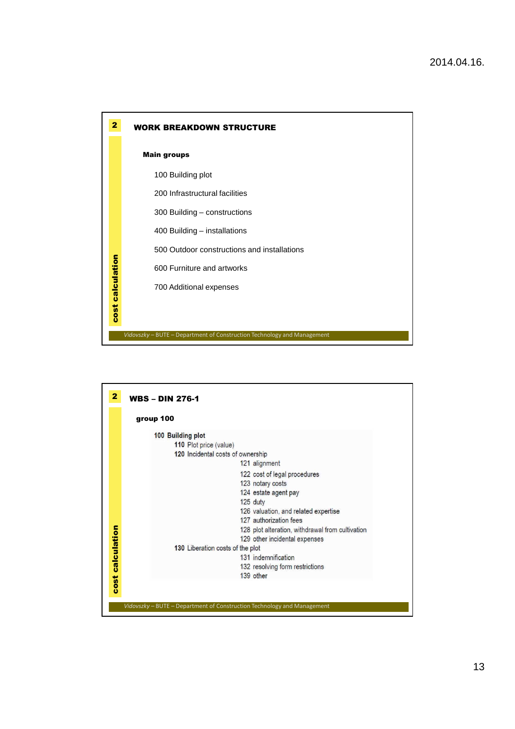

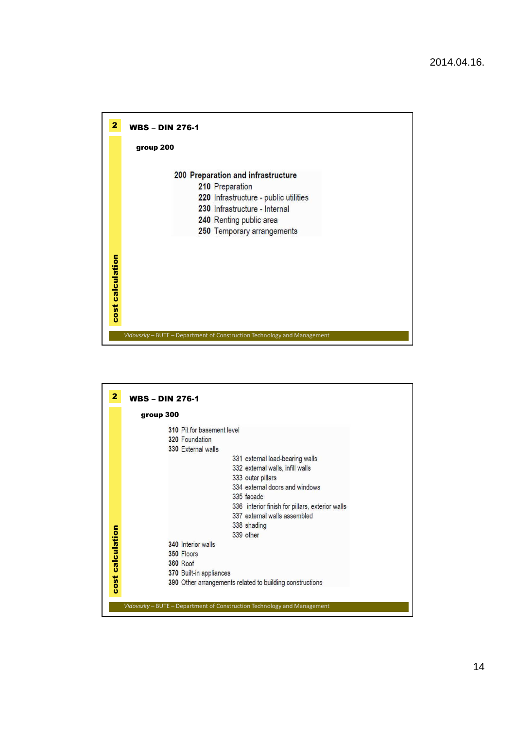

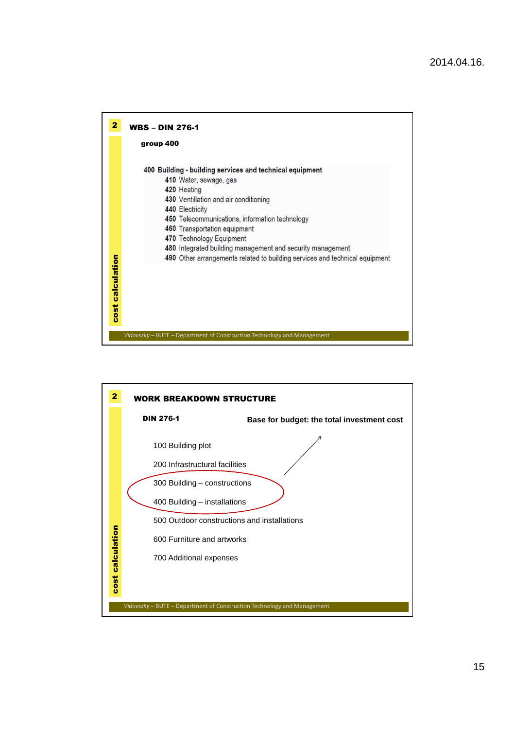

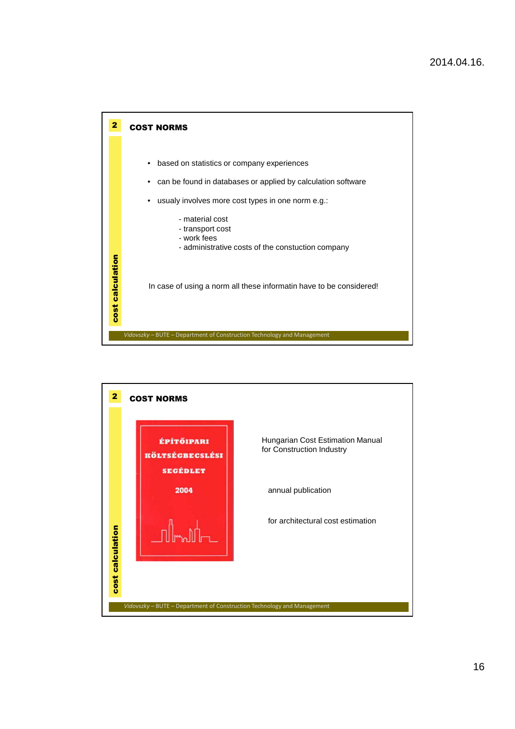

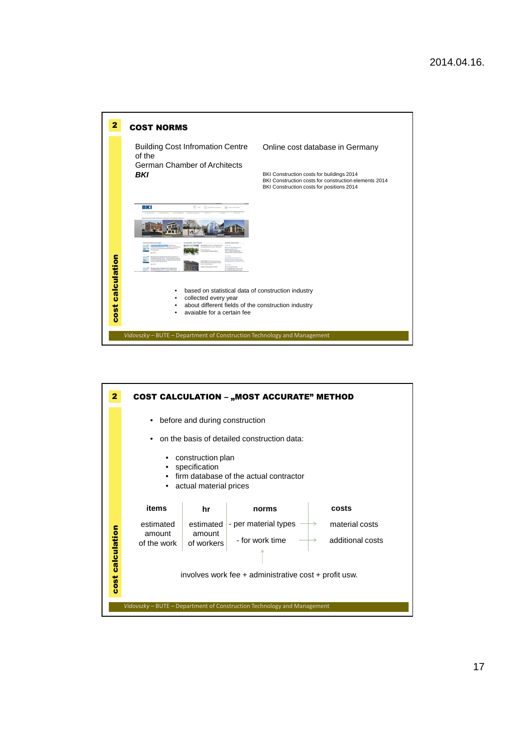

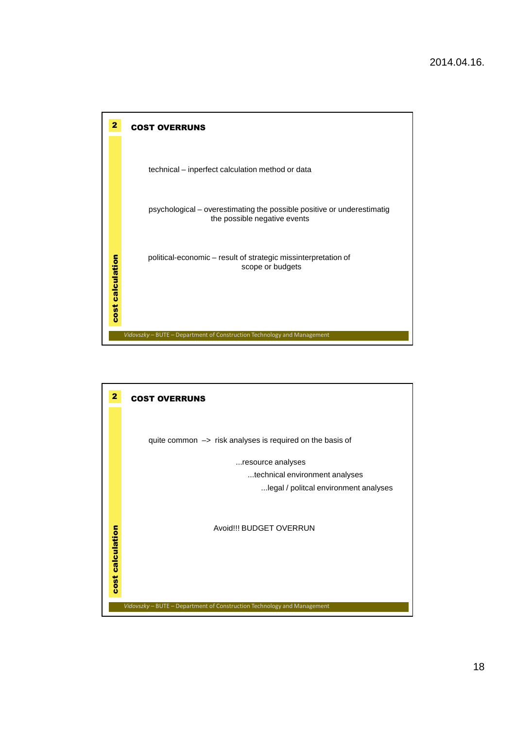